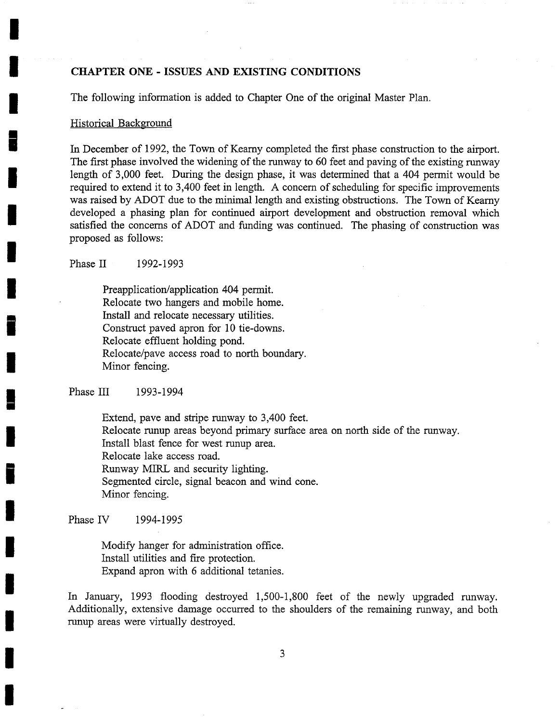#### **CHAPTER ONE - ISSUES AND EXISTING CONDITIONS**

The following information is added to Chapter One of the original Master Plan.

#### Historical Background

In December of 1992, the Town of Kearny completed the first phase construction to the airport. The first phase involved the widening of the runway to 60 feet and paving of the existing runway length of 3,000 feet. During the design phase, it was determined that a 404 permit would be required to extend it to 3,400 feet in length. A concern of scheduling for specific improvements was raised by ADOT due to the minimal length and existing obstructions. The Town of Kearny developed a phasing plan for continued airport development and obstruction removal which satisfied the concerns of ADOT and funding was continued. The phasing of construction was proposed as follows:

Phase II 1992-1993

Preapplication/application 404 permit. Relocate two hangers and mobile home. Install and relocate necessary utilities. Construct paved apron for 10 tie-downs. Relocate effluent holding pond. Relocate/pave access road to north boundary. Minor fencing.

#### Phase III 1993-1994

Extend, pave and stripe runway to 3,400 feet. Relocate runup areas beyond primary surface area on north side of the runway. Install blast fence for west runup area. Relocate lake access road. Runway MIRL and security lighting. Segmented circle, signal beacon and wind cone. Minor fencing.

Phase IV 1994-1995

Modify hanger for administration office. Install utilities and fire protection. Expand apron with 6 additional tetanies.

In January, *1993* flooding destroyed 1,500-1,800 feet of the newly upgraded runway. Additionally, extensive damage occurred to the shoulders of the remaining runway, and both runup areas were virtually destroyed.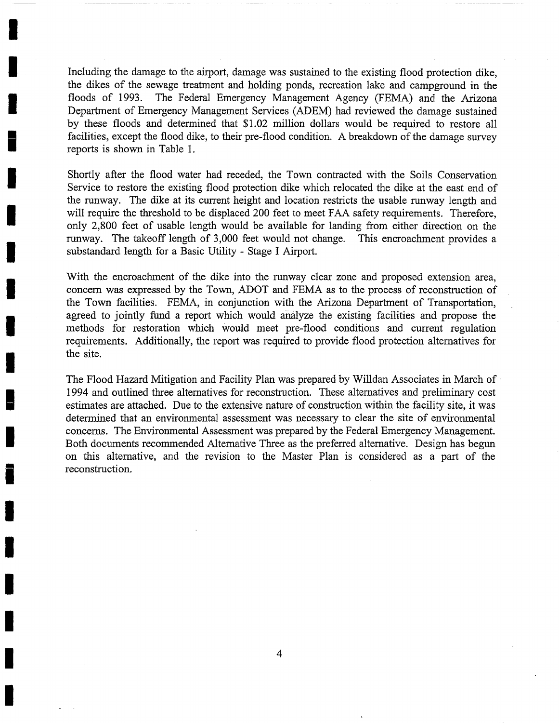Including the damage to the airport, damage was sustained to the existing flood protection dike, the dikes of the sewage treatment and holding ponds, recreation lake and campground in the floods of 1993. The Federal Emergency Management Agency (FEMA) and the Arizona Department of Emergency Management Services (ADEM) had reviewed the damage sustained by these floods and determined that \$1.02 million dollars would be required to restore all facilities, except the flood dike, to their pre-flood condition. A breakdown of the damage survey reports is shown in Table 1.

**I** 

**I** 

**I** 

**I** 

**I** 

Shortly after the flood water had receded, the Town contracted with the Soils Conservation Service to restore the existing flood protection dike which relocated the dike at the east end of the runway. The dike at its current height and location restricts the usable runway length and will require the threshold to be displaced 200 feet to meet FAA safety requirements. Therefore, only 2,800 feet of usable length would be available for landing from either direction on the runway. The takeoff length of 3,000 feet would not change. This encroachment provides a substandard length for a Basic Utility - Stage I Airport.

With the encroachment of the dike into the runway clear zone and proposed extension area, concern was expressed by the Town, ADOT and FEMA as to the process of reconstruction of the Town facilities. FEMA, in conjunction with the Arizona Department of Transportation, agreed to jointly fund a report which would analyze the existing facilities and propose the methods for restoration which would meet pre-flood conditions and current regulation requirements. Additionally, the report was required to provide flood protection alternatives for the site.

The Flood Hazard Mitigation and Facility Plan was prepared by Willdan Associates in March of 1994 and outlined three alternatives for reconstruction. These alternatives and preliminary cost estimates are attached. Due to the extensive nature of construction within the facility site, it was determined that an environmental assessment was necessary to clear the site of environmental concerns. The Environmental Assessment was prepared by the Federal Emergency Management. Both documents recommended Alternative Three as the preferred alternative. Design has begun on this alternative, and the revision to the Master Plan is considered as a part of the reconstruction.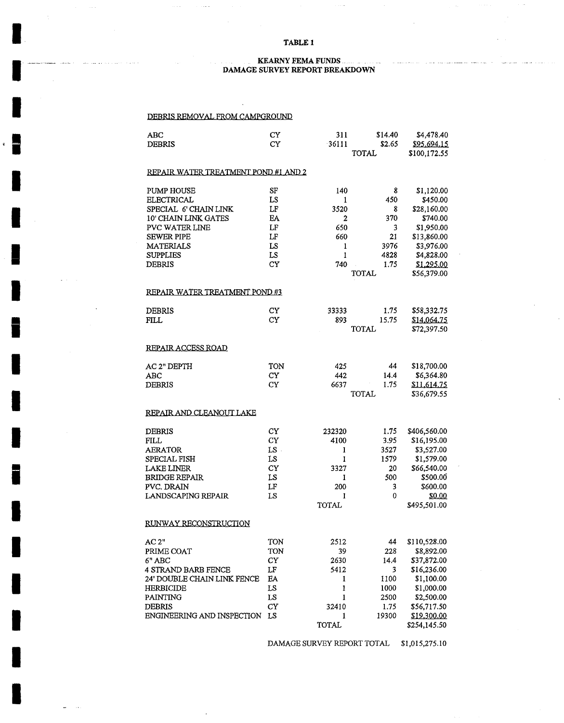#### **TABLE 1**

 $\sim$   $\sim$ 

#### **• . KEARNY FEMA FUNDS ............. DAMAGE SURVEY REPORT BREAKDOWN**

#### DEBRIS REMOVAL FROM CAMPGROUND

 $\alpha$  ,  $\alpha$  ,  $\beta$  ,  $\beta$  ,  $\alpha$  ,  $\beta$ 

**I** 

 $\mathcal{L}_{\text{max}}$  , and

**I** 

**|** 

**I** 

**I** 

**!** 

**I** 

**i** 

**I** 

**I** 

**I** 

**ii** 

**I** 

**I** 

**I** 

**I** 

**I** 

**I** 

| ABC                                  | CY        | 311          | \$14.40 | \$4,478.40   |
|--------------------------------------|-----------|--------------|---------|--------------|
| <b>DEBRIS</b>                        | CY        | 36111        | \$2.65  | \$95,694.15  |
|                                      |           |              | TOTAL   | \$100,172.55 |
|                                      |           |              |         |              |
| REPAIR WATER TREATMENT POND #1 AND 2 |           |              |         |              |
|                                      |           |              |         |              |
| PUMP HOUSE                           | SF        | 140          | 8       | \$1,120.00   |
| <b>ELECTRICAL</b>                    | LS        | 1            | 450     | \$450.00     |
| SPECIAL 6' CHAIN LINK                | LF        | 3520         | 8       | \$28,160.00  |
| 10' CHAIN LINK GATES                 | EA        | 2            | 370     | \$740.00     |
| PVC WATER LINE                       | LF        | 650          | 3       | \$1,950.00   |
| <b>SEWER PIPE</b>                    | LF        | 660          | 21      | \$13,860.00  |
| MATERIALS                            | LS        | 1            | 3976    | \$3,976.00   |
| <b>SUPPLIES</b>                      | LS        | ı            | 4828    | \$4,828.00   |
|                                      |           |              |         |              |
| <b>DEBRIS</b>                        | <b>CY</b> | 740          | 1.75    | \$1,295.00   |
|                                      |           |              | TOTAL   | \$56,379.00  |
|                                      |           |              |         |              |
| REPAIR WATER TREATMENT POND #3       |           |              |         |              |
|                                      |           |              |         |              |
| DEBRIS                               | CY        | 33333        | 1.75    | \$58,332.75  |
| FILL                                 | CY        | 893          | 15.75   | \$14.064.75  |
|                                      |           |              | TOTAL   | \$72,397.50  |
|                                      |           |              |         |              |
| REPAIR ACCESS ROAD                   |           |              |         |              |
|                                      |           |              |         |              |
| AC 2" DEPTH                          | TON       | 425          | 44      | \$18,700.00  |
| ABC                                  | <b>CY</b> | 442          | 14.4    | \$6,364.80   |
| DEBRIS                               | <b>CY</b> | 6637         | 1.75    | \$11,614.75  |
|                                      |           |              | TOTAL   | \$36,679.55  |
|                                      |           |              |         |              |
| REPAIR AND CLEANOUT LAKE             |           |              |         |              |
|                                      |           |              |         |              |
| <b>DEBRIS</b>                        | CY        | 232320       | 1.75    | \$406,560.00 |
| FILL                                 | CY        | 4100         | 3.95    | \$16,195.00  |
| AERATOR                              | $LS$ .    |              | 3527    | \$3,527.00   |
|                                      |           | 1            |         |              |
| SPECIAL FISH                         | LS        | 1            | 1579    | \$1,579.00   |
| <b>LAKE LINER</b>                    | CY        | 3327         | 20      | \$66,540.00  |
| <b>BRIDGE REPAIR</b>                 | LS        | 1            | 500     | \$500.00     |
| PVC. DRAIN                           | LF        | 200          | 3       | \$600.00     |
| <b>LANDSCAPING REPAIR</b>            | LS        | 1            | 0       | \$0.00       |
|                                      |           | TOTAL        |         | \$495,501.00 |
|                                      |           |              |         |              |
| RUNWAY RECONSTRUCTION                |           |              |         |              |
|                                      |           |              |         |              |
| AC 2"                                | TON       | 2512         | 44      | \$110,528.00 |
| PRIME COAT                           | TON       | 39           | 228     | \$8,892.00   |
| 6" ABC                               | CY        | 2630         | 14.4    | \$37,872.00  |
| 4 STRAND BARB FENCE                  | LF        | 5412         | 3       | \$16,236.00  |
| 24' DOUBLE CHAIN LINK FENCE          | EA        | 1            | 1100    | \$1,100.00   |
| HERBICIDE                            | LS        | 1            | 1000    | \$1,000.00   |
| PAINTING                             | LS        | 1            | 2500    | \$2,500.00   |
| <b>DEBRIS</b>                        | CY        | 32410        | 1.75    | \$56,717.50  |
| ENGINEERING AND INSPECTION           | LS        |              | 19300   |              |
|                                      |           | 1            |         | \$19,300.00  |
|                                      |           | <b>TOTAL</b> |         | \$254,145.50 |

DAMAGE SURVEY REPORT TOTAL \$1,015,275.10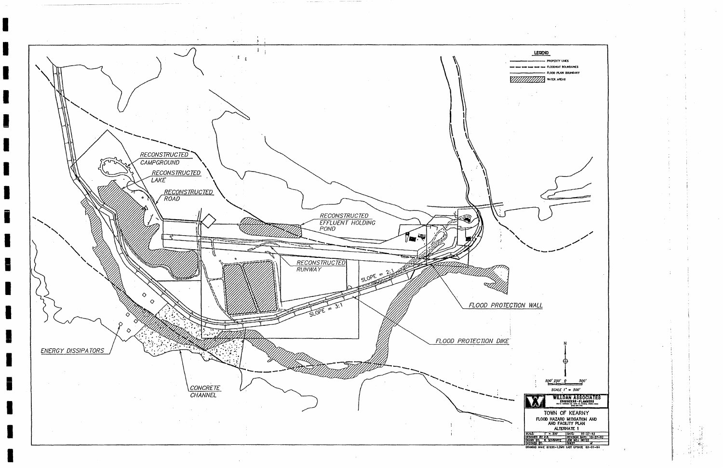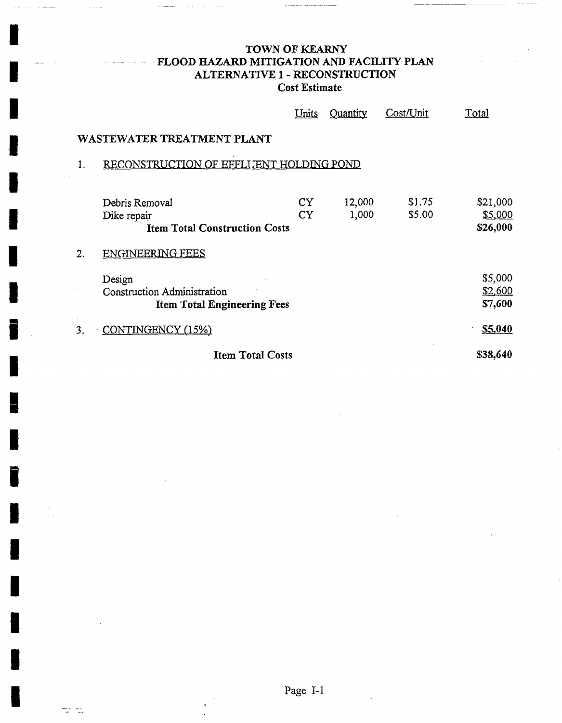# TOWN OF KEARNY FLOOD HAZARD MITIGATION AND FACILITY PLAN ALTERNATIVE 1 - RECONSTRUCTION **Cost Estimate**

|    |                                                                                    | Units                  | <b>Quantity</b> | Cost/Unit        | Total                                  |
|----|------------------------------------------------------------------------------------|------------------------|-----------------|------------------|----------------------------------------|
|    | WASTEWATER TREATMENT PLANT                                                         |                        |                 |                  |                                        |
|    | RECONSTRUCTION OF EFFLUENT HOLDING POND                                            |                        |                 |                  |                                        |
|    | Debris Removal<br>Dike repair<br><b>Item Total Construction Costs</b>              | <b>CY</b><br><b>CY</b> | 12,000<br>1,000 | \$1.75<br>\$5.00 | \$21,000<br><u>\$5,000</u><br>\$26,000 |
| 2. | ENGINEERING FEES                                                                   |                        |                 |                  |                                        |
|    | Design<br><b>Construction Administration</b><br><b>Item Total Engineering Fees</b> |                        |                 |                  | \$5,000<br>\$2,600<br>\$7,600          |
| 3. | CONTINGENCY (15%)                                                                  |                        |                 |                  | S5,040                                 |
|    | <b>Item Total Costs</b>                                                            |                        |                 |                  | \$38,640                               |

 $\overline{\mathbb{C}}$  .  $\overline{\mathbb{C}}$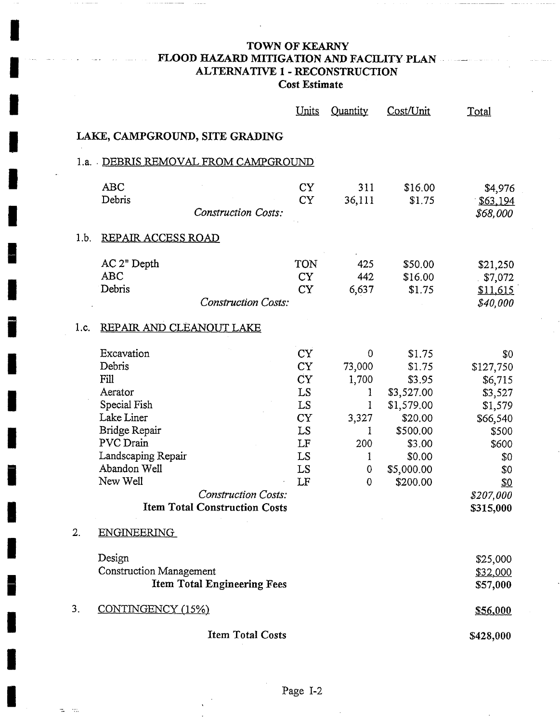# **TOWN OF KEARNY FLOOD HAZARD MITIGATION AND FACILITY PLAN ........................... ALTERNATIVE 1 - RECONSTRUCTION Cost Estimate**

**!** 

**!** 

**!** 

 $\sim$ ÷.

**| "** 

|      |                                                                                                                                                                                                                             | <u>Units</u>                                                                               | Quantity                                                           | Cost/Unit                                                                                                                   | Total                                                                                                                                 |
|------|-----------------------------------------------------------------------------------------------------------------------------------------------------------------------------------------------------------------------------|--------------------------------------------------------------------------------------------|--------------------------------------------------------------------|-----------------------------------------------------------------------------------------------------------------------------|---------------------------------------------------------------------------------------------------------------------------------------|
|      | LAKE, CAMPGROUND, SITE GRADING                                                                                                                                                                                              |                                                                                            |                                                                    |                                                                                                                             |                                                                                                                                       |
|      | 1.a. DEBRIS REMOVAL FROM CAMPGROUND                                                                                                                                                                                         |                                                                                            |                                                                    |                                                                                                                             |                                                                                                                                       |
|      | <b>ABC</b><br>Debris<br><b>Construction Costs:</b>                                                                                                                                                                          | <b>CY</b><br><b>CY</b>                                                                     | 311<br>36,111                                                      | \$16.00<br>\$1.75                                                                                                           | \$4,976<br>\$63,194<br>\$68,000                                                                                                       |
| 1.b. | <b>REPAIR ACCESS ROAD</b>                                                                                                                                                                                                   |                                                                                            |                                                                    |                                                                                                                             |                                                                                                                                       |
|      | AC 2" Depth<br><b>ABC</b><br>Debris<br><b>Construction Costs:</b>                                                                                                                                                           | TON<br><b>CY</b><br><b>CY</b>                                                              | 425<br>442<br>6,637                                                | \$50.00<br>\$16.00<br>\$1.75                                                                                                | \$21,250<br>\$7,072<br>\$11,615<br>\$40,000                                                                                           |
| 1.c. | REPAIR AND CLEANOUT LAKE                                                                                                                                                                                                    |                                                                                            |                                                                    |                                                                                                                             |                                                                                                                                       |
|      | Excavation<br>Debris<br>Fill<br>Aerator<br>Special Fish<br>Lake Liner<br>Bridge Repair<br>PVC Drain<br>Landscaping Repair<br>Abandon Well<br>New Well<br><b>Construction Costs:</b><br><b>Item Total Construction Costs</b> | <b>CY</b><br><b>CY</b><br><b>CY</b><br>LS<br>LS<br><b>CY</b><br>LS<br>LF<br>LS<br>LS<br>LF | 0<br>73,000<br>1,700<br>1<br>1<br>3,327<br>1<br>200<br>1<br>0<br>0 | \$1.75<br>\$1.75<br>\$3.95<br>\$3,527.00<br>\$1,579.00<br>\$20.00<br>\$500.00<br>\$3.00<br>\$0.00<br>\$5,000.00<br>\$200.00 | \$0<br>\$127,750<br>\$6,715<br>\$3,527<br>\$1,579<br>\$66,540<br>\$500<br>\$600<br>\$0<br>\$0<br><u>\$0</u><br>\$207,000<br>\$315,000 |
| 2.   | <b>ENGINEERING</b>                                                                                                                                                                                                          |                                                                                            |                                                                    |                                                                                                                             |                                                                                                                                       |
|      | Design<br><b>Construction Management</b><br><b>Item Total Engineering Fees</b>                                                                                                                                              |                                                                                            |                                                                    |                                                                                                                             | \$25,000<br>\$32,000<br>\$57,000                                                                                                      |
| 3.   | CONTINGENCY (15%)                                                                                                                                                                                                           |                                                                                            |                                                                    |                                                                                                                             | \$56,000                                                                                                                              |
|      | <b>Item Total Costs</b>                                                                                                                                                                                                     |                                                                                            |                                                                    |                                                                                                                             | \$428,000                                                                                                                             |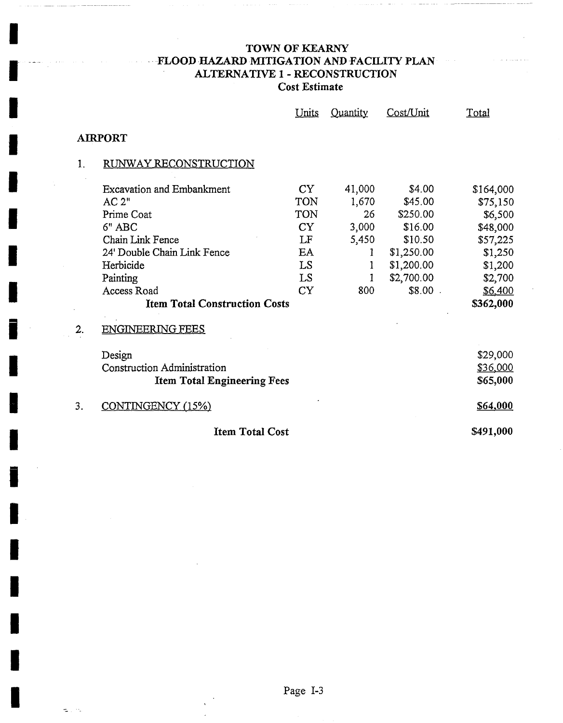# TOWN OF KEARNY **FLOOD HAZARD MITIGATION AND FACILITY PLAN** ALTERNATIVE 1 - RECONSTRUCTION **Cost Estimate**

**I** 

**I** 

**I** 

**I** 

**I** 

**I** 

**I** 

**i** 

**i** 

**i** 

**I** 

**i** 

**I** 

**I** 

**I** 

**I** 

**I** 

**I** 

e i n

i .......

|    |                                      | Units     | Quantity | Cost/Unit  | Total     |
|----|--------------------------------------|-----------|----------|------------|-----------|
|    | <b>AIRPORT</b>                       |           |          |            |           |
| 1. | RUNWAY RECONSTRUCTION                |           |          |            |           |
|    | <b>Excavation and Embankment</b>     | <b>CY</b> | 41,000   | \$4.00     | \$164,000 |
|    | AC 2"                                | TON       | 1,670    | \$45.00    | \$75,150  |
|    | Prime Coat                           | TON       | 26       | \$250.00   | \$6,500   |
|    | 6" ABC                               | <b>CY</b> | 3,000    | \$16.00    | \$48,000  |
|    | Chain Link Fence                     | LF        | 5,450    | \$10.50    | \$57,225  |
|    | 24' Double Chain Link Fence          | EA        | 1        | \$1,250.00 | \$1,250   |
|    | Herbicide                            | LS        |          | \$1,200.00 | \$1,200   |
|    | Painting                             | LS        |          | \$2,700.00 | \$2,700   |
|    | Access Road                          | <b>CY</b> | 800      | $$8.00$ .  | \$6,400   |
|    | <b>Item Total Construction Costs</b> |           |          |            | \$362,000 |
| 2. | <b>ENGINEERING FEES</b>              |           |          |            |           |
|    | Design                               |           |          |            | \$29,000  |
|    | <b>Construction Administration</b>   |           |          |            | \$36,000  |
|    | <b>Item Total Engineering Fees</b>   |           |          |            | \$65,000  |
| 3. | CONTINGENCY (15%)                    |           |          |            | S64,000   |
|    | <b>Item Total Cost</b>               |           |          |            | \$491,000 |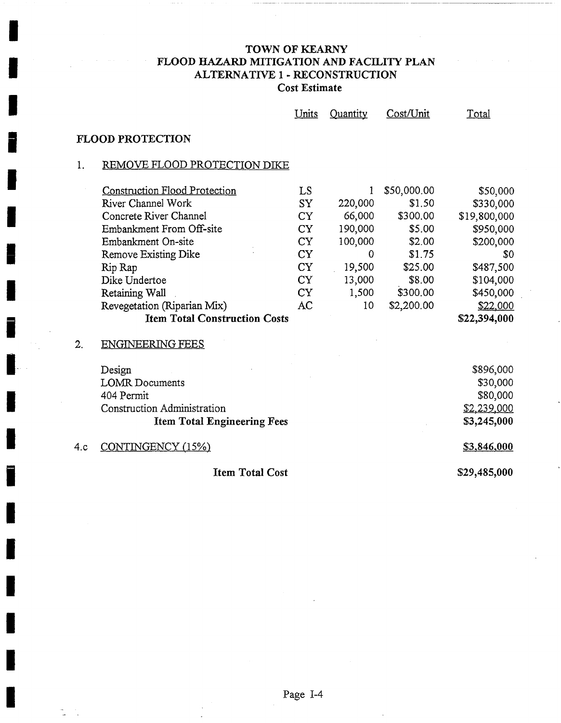## TOWN OF KEARNY FLOOD HAZARD MITIGATION AND FACILITY PLAN ALTERNATIVE 1 - RECONSTRUCTION **Cost Estimate**

|     |                                      | Units     | Quantity | Cost/Unit   | Total        |
|-----|--------------------------------------|-----------|----------|-------------|--------------|
|     | <b>FLOOD PROTECTION</b>              |           |          |             |              |
| 1.  | REMOVE FLOOD PROTECTION DIKE         |           |          |             |              |
|     | <b>Construction Flood Protection</b> | LS        | 1        | \$50,000.00 | \$50,000     |
|     | River Channel Work                   | <b>SY</b> | 220,000  | \$1.50      | \$330,000    |
|     | Concrete River Channel               | <b>CY</b> | 66,000   | \$300.00    | \$19,800,000 |
|     | Embankment From Off-site             | <b>CY</b> | 190,000  | \$5.00      | \$950,000    |
|     | Embankment On-site                   | <b>CY</b> | 100,000  | \$2.00      | \$200,000    |
|     | Remove Existing Dike                 | <b>CY</b> | 0        | \$1.75      | \$0          |
|     | Rip Rap                              | <b>CY</b> | 19,500   | \$25.00     | \$487,500    |
|     | Dike Undertoe                        | <b>CY</b> | 13,000   | \$8.00      | \$104,000    |
|     | Retaining Wall                       | <b>CY</b> | 1,500    | \$300.00    | \$450,000    |
|     | Revegetation (Riparian Mix)          | AC        | 10       | \$2,200.00  | \$22,000     |
|     | <b>Item Total Construction Costs</b> |           |          |             | \$22,394,000 |
| 2.  | <b>ENGINEERING FEES</b>              |           |          |             |              |
|     | Design                               |           |          |             | \$896,000    |
|     | <b>LOMR</b> Documents                |           |          |             | \$30,000     |
|     | 404 Permit                           |           |          |             | \$80,000     |
|     | Construction Administration          |           |          |             | \$2,239,000  |
|     | <b>Item Total Engineering Fees</b>   |           |          |             | \$3,245,000  |
| 4.c | CONTINGENCY (15%)                    |           |          |             | \$3,846,000  |
|     | <b>Item Total Cost</b>               |           |          |             | \$29,485,000 |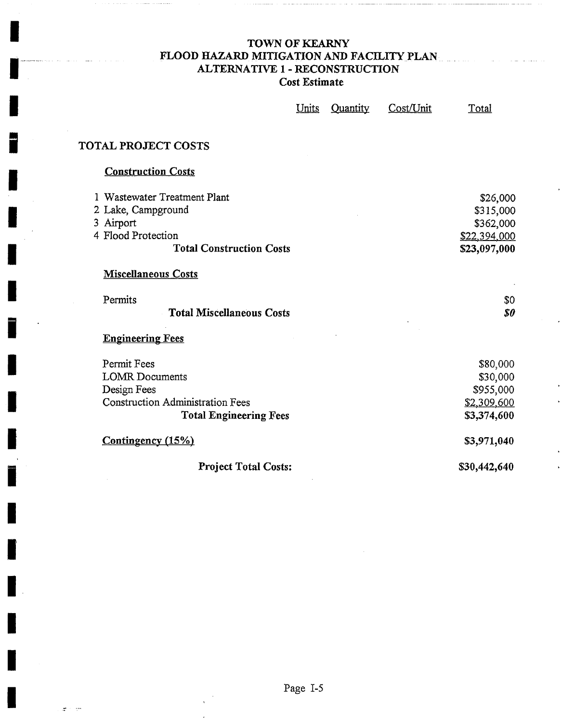### TOWN OF KEARNY FLOOD HAZARD MITIGATION AND FACILITY PLAN. ALTERNATIVE 1 - RECONSTRUCTION **Cost Estimate**

| <u>Units</u> | Quantity | Cost/Unit | Total |
|--------------|----------|-----------|-------|
|--------------|----------|-----------|-------|

# **|** TOTAL PROJECT COSTS

**!** 

**!** 

I ..........................

### **Construction Costs**

| 1 Wastewater Treatment Plant            | \$26,000            |
|-----------------------------------------|---------------------|
| 2 Lake, Campground                      | \$315,000           |
| 3 Airport                               | \$362,000           |
| 4 Flood Protection                      | <u>\$22,394,000</u> |
| <b>Total Construction Costs</b>         | \$23,097,000        |
| <b>Miscellaneous Costs</b>              |                     |
| Permits                                 | \$0                 |
| <b>Total Miscellaneous Costs</b>        | 80                  |
| <b>Engineering Fees</b>                 |                     |
| Permit Fees                             | \$80,000            |
| <b>LOMR</b> Documents                   | \$30,000            |
| Design Fees                             | \$955,000           |
| <b>Construction Administration Fees</b> | \$2,309,600         |
| <b>Total Engineering Fees</b>           | \$3,374,600         |
| <b>Contingency</b> (15%)                | \$3,971,040         |
| <b>Project Total Costs:</b>             | \$30,442,640        |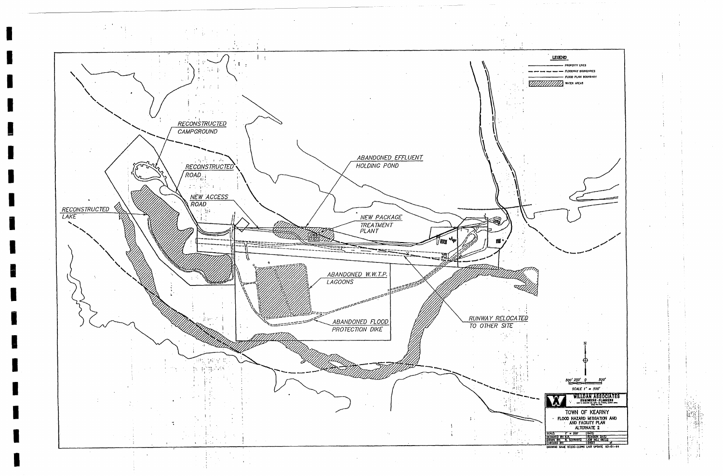**I** 

**I** 

**I** 

**I** 

**I** 

**I** 

**I** 

**I** 

**I** 

**I** 

**I** 

**I** 

**i** 

**I** 

**I** 

**I** 

**I** 

**I** 

**I** 



LEGEND PROPERTY UNES FLOONWAY BOUNDARIES - FLOOD PLAIN BOUNDARY J \ / .,• ~,,,, .~.I j N  $500'250'0$ SCALE  $1'' = 500'$ J WILLDAN ASSOCIATES W TOWN OF KEARNY<br>FLOOD HAZARD MITIGATION AND<br>MID FACILITY PLAN<br>ALTERNATE 2 SOLE I'm 200' DATE<br>XSICRED BY: KR, R. R. R. NSON BATE<br>ROKKO BY: R. SCHWARTZ ROB NO. 1972<br>FRECKO BY: **I': ": ' '**  ~qAl~ ~ 07~2C-2.~K: t~\*ST IJP~ 03..-.01-14 **i ~ il**  !:- **:j**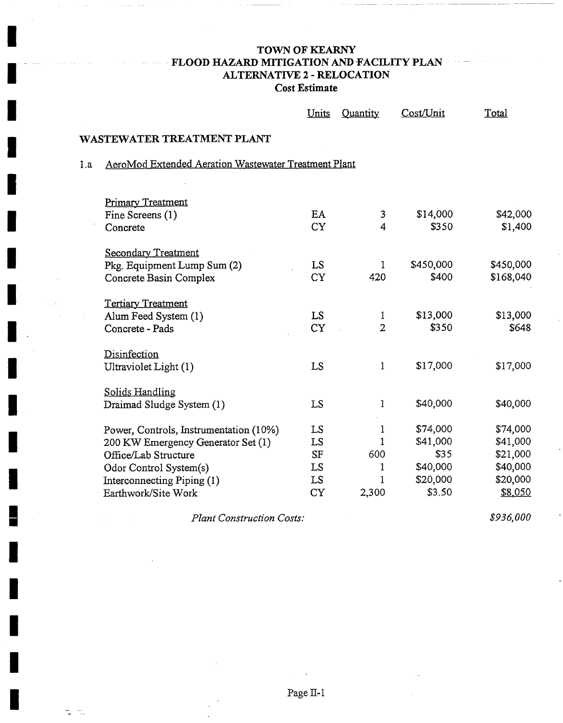### TOWN OF KEARNY FLOOD HAZARD MITIGATION AND FACILITY PLAN ALTERNATIVE 2 - RELOCATION **Cost Estimate**

|     |                                                            | Units     | Quantity     | Cost/Unit          | Total     |
|-----|------------------------------------------------------------|-----------|--------------|--------------------|-----------|
|     | WASTEWATER TREATMENT PLANT                                 |           |              |                    |           |
| 1.a | AeroMod Extended Aeration Wastewater Treatment Plant       |           |              |                    |           |
|     |                                                            |           |              |                    |           |
|     | <b>Primary Treatment</b>                                   |           |              |                    |           |
|     | Fine Screens (1)                                           | EA        | 3            | \$14,000           | \$42,000  |
|     | Concrete                                                   | <b>CY</b> | 4            | \$350              | \$1,400   |
|     | <b>Secondary Treatment</b>                                 |           |              |                    |           |
|     | Pkg. Equipment Lump Sum (2)                                | LS.       | 1            | \$450,000          | \$450,000 |
|     | Concrete Basin Complex                                     | <b>CY</b> | 420          | \$400              | \$168,040 |
|     |                                                            |           |              |                    |           |
|     | <b>Tertiary Treatment</b>                                  | LS.       |              | \$13,000           | \$13,000  |
|     | Alum Feed System (1)                                       | <b>CY</b> | 1<br>2       | \$350              | \$648     |
|     | Concrete - Pads                                            |           |              |                    |           |
|     | Disinfection                                               |           |              |                    |           |
|     | Ultraviolet Light (1)                                      | LS        | $\mathbf{1}$ | \$17,000           | \$17,000  |
|     |                                                            |           |              |                    |           |
|     | Solids Handling                                            |           |              |                    |           |
|     | Draimad Sludge System (1)                                  | LS        | 1            | \$40,000           | \$40,000  |
|     |                                                            | LS        | 1            | \$74,000           | \$74,000  |
|     | Power, Controls, Instrumentation (10%)                     | LS        | 1            | \$41,000           | \$41,000  |
|     | 200 KW Emergency Generator Set (1)<br>Office/Lab Structure | <b>SF</b> | 600          | \$35               | \$21,000  |
|     |                                                            |           |              |                    |           |
|     | Odor Control System(s)                                     | LS.       | 1            | \$40,000           | \$40,000  |
|     | Interconnecting Piping (1)                                 | LS.       | 1            | \$20,000<br>\$3.50 | \$20,000  |
|     | Earthwork/Site Work                                        | <b>CY</b> | 2,300        |                    | \$8,050   |

*Plant Construction Costs:* 

÷r.

*\$936,000*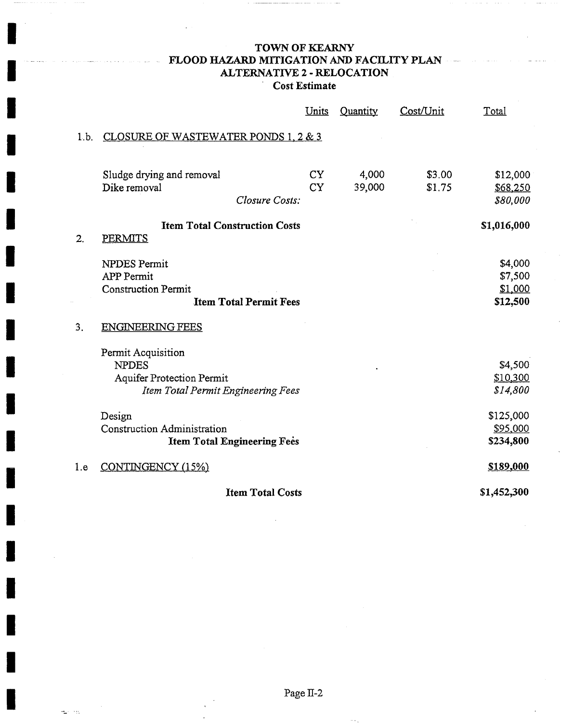### TOWN OF KEARNY FLOOD HAZARD MITIGATION AND FACILITY PLAN ...... ALTERNATIVE 2 - RELOCATION **Cost Estimate**

|      |                                                                                                              | Units                  | Quantity        | Cost/Unit        | Total                                     |
|------|--------------------------------------------------------------------------------------------------------------|------------------------|-----------------|------------------|-------------------------------------------|
| 1.b. | CLOSURE OF WASTEWATER PONDS 1, 2 & 3                                                                         |                        |                 |                  |                                           |
|      | Sludge drying and removal<br>Dike removal<br>Closure Costs:                                                  | <b>CY</b><br><b>CY</b> | 4,000<br>39,000 | \$3.00<br>\$1.75 | \$12,000<br>\$68,250<br>\$80,000          |
| 2.   | <b>Item Total Construction Costs</b><br>PERMITS                                                              |                        |                 |                  | \$1,016,000                               |
|      | NPDES Permit<br><b>APP Permit</b><br><b>Construction Permit</b><br><b>Item Total Permit Fees</b>             |                        |                 |                  | \$4,000<br>\$7,500<br>\$1,000<br>\$12,500 |
| 3.   | <b>ENGINEERING FEES</b>                                                                                      |                        |                 |                  |                                           |
|      | Permit Acquisition<br><b>NPDES</b><br><b>Aquifer Protection Permit</b><br>Item Total Permit Engineering Fees |                        |                 |                  | \$4,500<br>\$10,300<br>\$14,800           |
|      | Design                                                                                                       |                        |                 |                  | \$125,000                                 |
|      | <b>Construction Administration</b><br><b>Item Total Engineering Fees</b>                                     |                        |                 |                  | \$95,000<br>\$234,800                     |
| 1.e  | CONTINGENCY (15%)                                                                                            |                        |                 |                  | \$189,000                                 |
|      | <b>Item Total Costs</b>                                                                                      |                        |                 |                  | \$1,452,300                               |

and the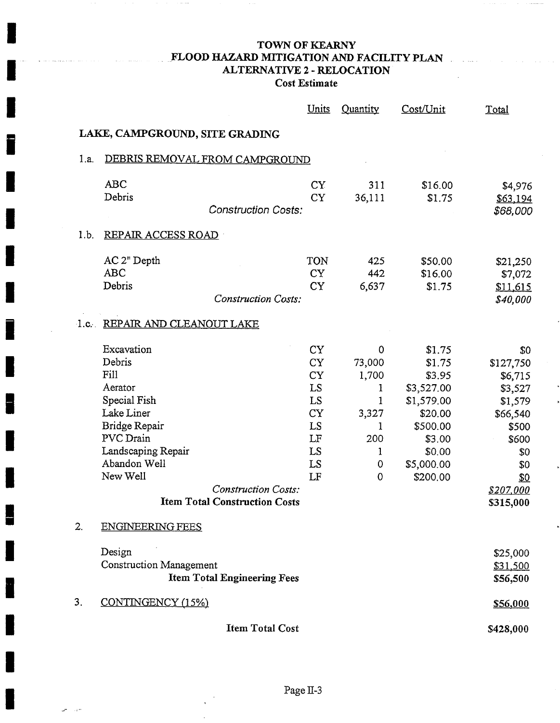### TOWN OF KEARNY • FLOOD HAZARD MITIGATION AND FACILITY PLAN ALTERNATIVE 2 - RELOCATION **Cost Estimate**

 $\sim$  11  $\sim$ 

|      |                                                                                                                                                                                                                             | <u>Units</u>                                                                               | Quantity                                                                                | Cost/Unit                                                                                                                   | Total                                                                                                                                 |
|------|-----------------------------------------------------------------------------------------------------------------------------------------------------------------------------------------------------------------------------|--------------------------------------------------------------------------------------------|-----------------------------------------------------------------------------------------|-----------------------------------------------------------------------------------------------------------------------------|---------------------------------------------------------------------------------------------------------------------------------------|
|      | LAKE, CAMPGROUND, SITE GRADING                                                                                                                                                                                              |                                                                                            |                                                                                         |                                                                                                                             |                                                                                                                                       |
| 1.a. | DEBRIS REMOVAL FROM CAMPGROUND                                                                                                                                                                                              |                                                                                            |                                                                                         |                                                                                                                             |                                                                                                                                       |
|      | <b>ABC</b><br>Debris<br><b>Construction Costs:</b>                                                                                                                                                                          | <b>CY</b><br><b>CY</b>                                                                     | 311<br>36,111                                                                           | \$16.00<br>\$1.75                                                                                                           | \$4,976<br>\$63,194<br>\$68,000                                                                                                       |
| 1.b. | <b>REPAIR ACCESS ROAD</b>                                                                                                                                                                                                   |                                                                                            |                                                                                         |                                                                                                                             |                                                                                                                                       |
|      | AC 2" Depth<br><b>ABC</b><br>Debris<br><b>Construction Costs:</b>                                                                                                                                                           | TON<br><b>CY</b><br><b>CY</b>                                                              | 425<br>442<br>6,637                                                                     | \$50.00<br>\$16.00<br>\$1.75                                                                                                | \$21,250<br>\$7,072<br>\$11,615<br>\$40,000                                                                                           |
|      | 1.c. REPAIR AND CLEANOUT LAKE                                                                                                                                                                                               |                                                                                            |                                                                                         |                                                                                                                             |                                                                                                                                       |
|      | Excavation<br>Debris<br>Fill<br>Aerator<br>Special Fish<br>Lake Liner<br>Bridge Repair<br>PVC Drain<br>Landscaping Repair<br>Abandon Well<br>New Well<br><b>Construction Costs:</b><br><b>Item Total Construction Costs</b> | <b>CY</b><br><b>CY</b><br><b>CY</b><br>LS<br>LS<br><b>CY</b><br>LS<br>LF<br>LS<br>LS<br>LF | 0<br>73,000<br>1,700<br>ŀ<br>$\mathbf{1}$<br>3,327<br>1<br>200<br>1<br>0<br>$\mathbf 0$ | \$1.75<br>\$1.75<br>\$3.95<br>\$3,527.00<br>\$1,579.00<br>\$20.00<br>\$500.00<br>\$3.00<br>\$0.00<br>\$5,000.00<br>\$200.00 | \$0<br>\$127,750<br>\$6,715<br>\$3,527<br>\$1,579<br>\$66,540<br>\$500<br>\$600<br>\$0<br>\$0<br>\$0<br><u>\$207,000</u><br>\$315,000 |
| 2.   | <b>ENGINEERING FEES</b>                                                                                                                                                                                                     |                                                                                            |                                                                                         |                                                                                                                             |                                                                                                                                       |
|      | Design<br><b>Construction Management</b><br><b>Item Total Engineering Fees</b>                                                                                                                                              |                                                                                            |                                                                                         |                                                                                                                             | \$25,000<br>\$31,500<br>\$56,500                                                                                                      |
| 3.   | CONTINGENCY (15%)                                                                                                                                                                                                           |                                                                                            |                                                                                         |                                                                                                                             | \$56,000                                                                                                                              |
|      | <b>Item Total Cost</b>                                                                                                                                                                                                      |                                                                                            |                                                                                         |                                                                                                                             | \$428,000                                                                                                                             |

بيور البي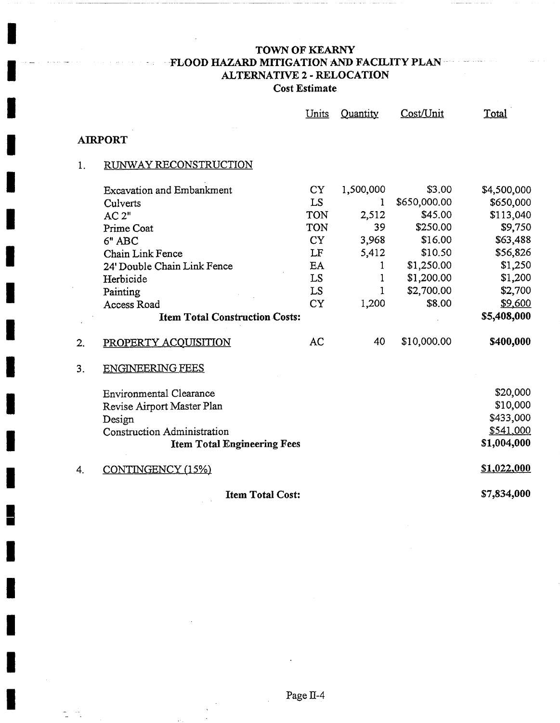# TOWN OF KEARNY FLOOD HAZARD MITIGATION AND FACILITY PLAN ... ALTERNATIVE 2 - RELOCATION **Cost Estimate**

|    |                                       | Units      | Quantity  | Cost/Unit    | Total       |
|----|---------------------------------------|------------|-----------|--------------|-------------|
|    | <b>AIRPORT</b>                        |            |           |              |             |
| 1. | RUNWAY RECONSTRUCTION                 |            |           |              |             |
|    | <b>Excavation and Embankment</b>      | <b>CY</b>  | 1,500,000 | \$3.00       | \$4,500,000 |
|    | Culverts                              | LS         | 1         | \$650,000.00 | \$650,000   |
|    | AC 2"                                 | TON        | 2,512     | \$45.00      | \$113,040   |
|    | Prime Coat                            | <b>TON</b> | 39        | \$250.00     | \$9,750     |
|    | 6" ABC                                | <b>CY</b>  | 3,968     | \$16.00      | \$63,488    |
|    | Chain Link Fence                      | LF         | 5,412     | \$10.50      | \$56,826    |
|    | 24' Double Chain Link Fence           | EA         | I         | \$1,250.00   | \$1,250     |
|    | Herbicide                             | LS         | 1         | \$1,200.00   | \$1,200     |
|    | Painting                              | LS         | 1         | \$2,700.00   | \$2,700     |
|    | Access Road                           | <b>CY</b>  | 1,200     | \$8.00       | \$9,600     |
|    | <b>Item Total Construction Costs:</b> |            |           |              | \$5,408,000 |
| 2. | PROPERTY ACOUISITION                  | AC         | 40        | \$10,000.00  | \$400,000   |
| 3. | <b>ENGINEERING FEES</b>               |            |           |              |             |
|    | <b>Environmental Clearance</b>        |            |           |              | \$20,000    |
|    | Revise Airport Master Plan            |            |           |              | \$10,000    |
|    | Design                                |            |           |              | \$433,000   |
|    | <b>Construction Administration</b>    |            |           |              | \$541,000   |
|    | <b>Item Total Engineering Fees</b>    |            |           |              | \$1,004,000 |
| 4. | CONTINGENCY (15%)                     |            |           |              | \$1,022,000 |
|    | <b>Item Total Cost:</b>               |            |           |              | \$7,834,000 |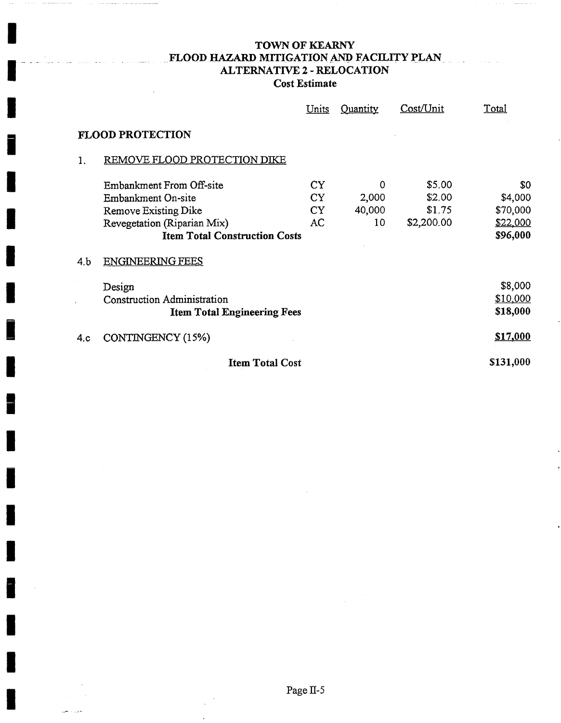## TOWN OF KEARNY ................................ FLOOD HAZARD MITIGATION AND FACILITY pLAN .... ALTERNATIVE 2 - *RELOCATION*  **Cost Estimate**

 $\mathcal{L}_{\mathcal{A}}$  . The second contract of the second contract of

|     |                                      | <b>Units</b> | Quantity | Cost/Unit  | <u>Total</u> |
|-----|--------------------------------------|--------------|----------|------------|--------------|
|     | <b>FLOOD PROTECTION</b>              |              |          |            |              |
|     | REMOVE FLOOD PROTECTION DIKE         |              |          |            |              |
|     | Embankment From Off-site             | <b>CY</b>    | 0        | \$5.00     | \$0          |
|     | Embankment On-site                   | CY.          | 2,000    | \$2.00     | \$4,000      |
|     | Remove Existing Dike                 | <b>CY</b>    | 40,000   | \$1.75     | \$70,000     |
|     | Revegetation (Riparian Mix)          | AC           | 10       | \$2,200.00 | \$22,000     |
|     | <b>Item Total Construction Costs</b> |              |          |            | \$96,000     |
| 4.b | <b>ENGINEERING FEES</b>              |              |          |            |              |
|     | Design                               |              |          |            | \$8,000      |
|     | <b>Construction Administration</b>   |              |          |            | \$10,000     |
|     | <b>Item Total Engineering Fees</b>   |              |          |            | \$18,000     |
| 4.c | CONTINGENCY (15%)                    |              |          |            | \$17,000     |
|     | <b>Item Total Cost</b>               |              |          |            | \$131,000    |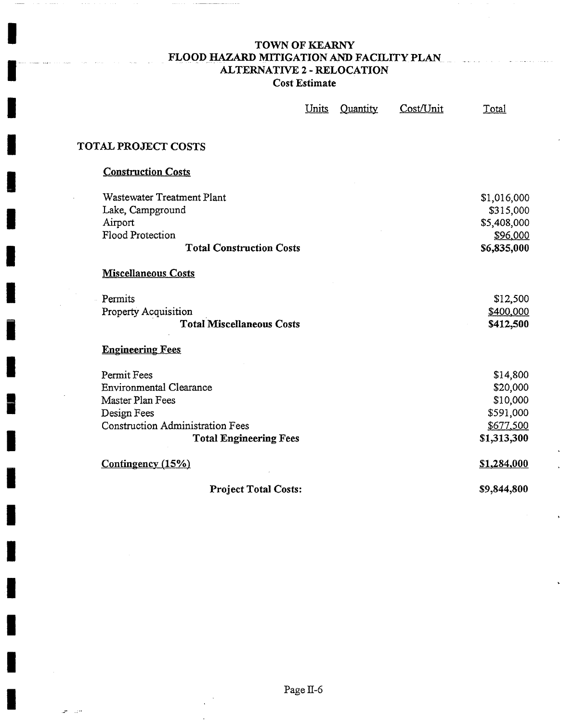## TOWN OF KEARNY FLOOD HAZARD MITIGATION AND FACILITY PLAN ALTERNATIVE 2 - RELOCATION **Cost Estimate**

**I** 

**I** 

**I** 

**I** 

**I** 

**I** 

**I** 

**i** 

**I** 

**I** 

**I** 

**I** 

**I** 

**I** 

**I** 

**I** 

**I** 

**I** 

|                                         | Units | Quantity | Cost/Unit | Total       |
|-----------------------------------------|-------|----------|-----------|-------------|
| <b>TOTAL PROJECT COSTS</b>              |       |          |           |             |
|                                         |       |          |           |             |
| <b>Construction Costs</b>               |       |          |           |             |
| <b>Wastewater Treatment Plant</b>       |       |          |           | \$1,016,000 |
| Lake, Campground                        |       |          |           | \$315,000   |
| Airport                                 |       |          |           | \$5,408,000 |
| Flood Protection                        |       |          |           | \$96,000    |
| <b>Total Construction Costs</b>         |       |          |           | \$6,835,000 |
| <b>Miscellaneous Costs</b>              |       |          |           |             |
| Permits                                 |       |          |           | \$12,500    |
| <b>Property Acquisition</b>             |       |          |           | \$400,000   |
| <b>Total Miscellaneous Costs</b>        |       |          |           | \$412,500   |
| <b>Engineering Fees</b>                 |       |          |           |             |
| Permit Fees                             |       |          |           | \$14,800    |
| <b>Environmental Clearance</b>          |       |          |           | \$20,000    |
| Master Plan Fees                        |       |          |           | \$10,000    |
| Design Fees                             |       |          |           | \$591,000   |
| <b>Construction Administration Fees</b> |       |          |           | \$677,500   |
| <b>Total Engineering Fees</b>           |       |          |           | \$1,313,300 |
| Contingency (15%)                       |       |          |           | \$1,284,000 |
| <b>Project Total Costs:</b>             |       |          |           | \$9,844,800 |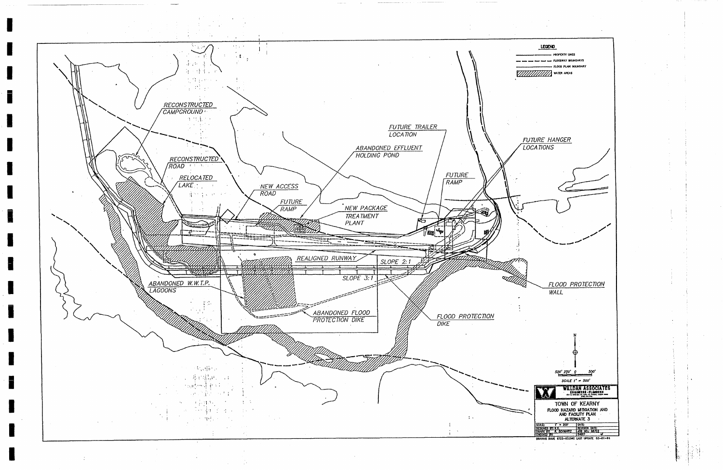**I** 

**I** 

**!** 

**i** 

**I** 

**I** 

**I** 

**I** 

**1** 

**I** 

**I** 

**I** 

**i** 

**I** 

**!** 

**I** 

**I** 

**i** 

**I** 

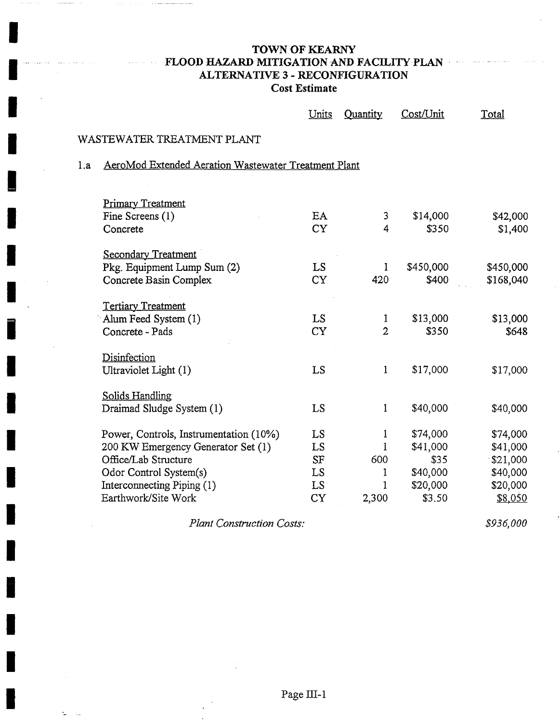# **TOWN OF KEARNY**  FLOOD HAZARD MITIGATION AND FACILITY PLAN ALTERNATIVE 3 - RECONFIGURATION **Cost Estimate**

|     |                                                      | Units     | Quantity       | Cost/Unit | Total     |
|-----|------------------------------------------------------|-----------|----------------|-----------|-----------|
|     | WASTEWATER TREATMENT PLANT                           |           |                |           |           |
| 1.a | AeroMod Extended Aeration Wastewater Treatment Plant |           |                |           |           |
|     |                                                      |           |                |           |           |
|     | <b>Primary Treatment</b>                             |           |                |           |           |
|     | Fine Screens $(1)$                                   | EA        | 3              | \$14,000  | \$42,000  |
|     | Concrete                                             | <b>CY</b> | 4              | \$350     | \$1,400   |
|     | <b>Secondary Treatment</b>                           |           |                |           |           |
|     | Pkg. Equipment Lump Sum (2)                          | LS.       | 1              | \$450,000 | \$450,000 |
|     | Concrete Basin Complex                               | <b>CY</b> | 420            | \$400     | \$168,040 |
|     | <b>Tertiary Treatment</b>                            |           |                |           |           |
|     | Alum Feed System (1)                                 | <b>LS</b> | $\mathbf{1}$   | \$13,000  | \$13,000  |
|     | Concrete - Pads                                      | <b>CY</b> | $\overline{2}$ | \$350     | \$648     |
|     | Disinfection                                         |           |                |           |           |
|     | Ultraviolet Light (1)                                | LS        | $\mathbf{1}$   | \$17,000  | \$17,000  |
|     | <b>Solids Handling</b>                               |           |                |           |           |
|     | Draimad Sludge System (1)                            | LS        | 1              | \$40,000  | \$40,000  |
|     | Power, Controls, Instrumentation (10%)               | LS        | 1              | \$74,000  | \$74,000  |
|     | 200 KW Emergency Generator Set (1)                   | LS        | 1              | \$41,000  | \$41,000  |
|     | Office/Lab Structure                                 | <b>SF</b> | 600            | \$35      | \$21,000  |
|     | Odor Control System(s)                               | LS        | 1              | \$40,000  | \$40,000  |
|     | Interconnecting Piping (1)                           | LS        | 1              | \$20,000  | \$20,000  |
|     | Earthwork/Site Work                                  | <b>CY</b> | 2,300          | \$3.50    | \$8,050   |

*\_Plant Construction Costs:* 

÷.  $\sim$  *\$936,000*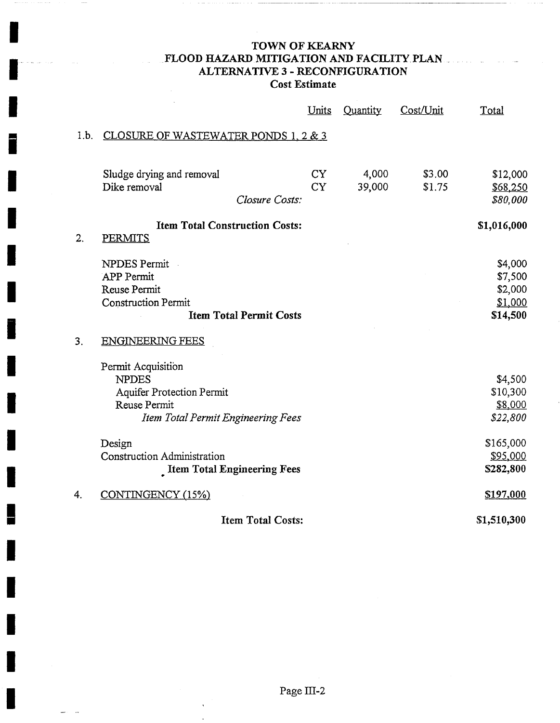## TOWN OF KEARNY FLOOD HAZARD MITIGATION AND FACILITY PLAN... ALTERNATIVE 3 - RECONFIGURATION **Cost Estimate**

**I** 

 $\label{eq:1} \begin{array}{lllllllll} \vspace{0.2cm} \begin{array}{lllllllllllllllllll} \vspace{0.2cm} \vspace{0.2cm} \vspace{0.2cm} \vspace{0.2cm} \vspace{0.2cm} \vspace{0.2cm} \vspace{0.2cm} \vspace{0.2cm} \vspace{0.2cm} \vspace{0.2cm} \vspace{0.2cm} \vspace{0.2cm} \vspace{0.2cm} \vspace{0.2cm} \vspace{0.2cm} \vspace{0.2cm} \vspace{0.2cm} \vspace{0.2cm} \vspace{0.2cm} \vspace{0.$ 

 $\cdots$ 

 $\blacksquare$ 

**!** 

**i** 

**I** 

**I** 

**I** 

**I** 

**I** 

**I** 

**!** 

**I** 

**I** 

**!** 

**I** 

**I** 

**I** 

**I** 

**I** 

سأدرج

|      |                                                                                                                              | <u>Units</u>           | Quantity        | Cost/Unit        | Total                                                |
|------|------------------------------------------------------------------------------------------------------------------------------|------------------------|-----------------|------------------|------------------------------------------------------|
| 1.b. | CLOSURE OF WASTEWATER PONDS 1, 2 & 3                                                                                         |                        |                 |                  |                                                      |
|      | Sludge drying and removal<br>Dike removal                                                                                    | <b>CY</b><br><b>CY</b> | 4,000<br>39,000 | \$3.00<br>\$1.75 | \$12,000<br>\$68,250                                 |
|      | Closure Costs:                                                                                                               |                        |                 |                  | \$80,000                                             |
| 2.   | <b>Item Total Construction Costs:</b><br><b>PERMITS</b>                                                                      |                        |                 |                  | \$1,016,000                                          |
|      | <b>NPDES Permit</b><br><b>APP</b> Permit<br>Reuse Permit<br><b>Construction Permit</b><br><b>Item Total Permit Costs</b>     |                        |                 |                  | \$4,000<br>\$7,500<br>\$2,000<br>\$1,000<br>\$14,500 |
| 3.   | <b>ENGINEERING FEES</b>                                                                                                      |                        |                 |                  |                                                      |
|      | Permit Acquisition<br><b>NPDES</b><br><b>Aquifer Protection Permit</b><br>Reuse Permit<br>Item Total Permit Engineering Fees |                        |                 |                  | \$4,500<br>\$10,300<br>\$8,000<br>\$22,800           |
|      | Design<br>Construction Administration<br><b>Item Total Engineering Fees</b>                                                  |                        |                 |                  | \$165,000<br>\$95,000<br>\$282,800                   |
| 4.   | CONTINGENCY (15%)                                                                                                            |                        |                 |                  | \$197,000                                            |
|      | <b>Item Total Costs:</b>                                                                                                     |                        |                 |                  | \$1,510,300                                          |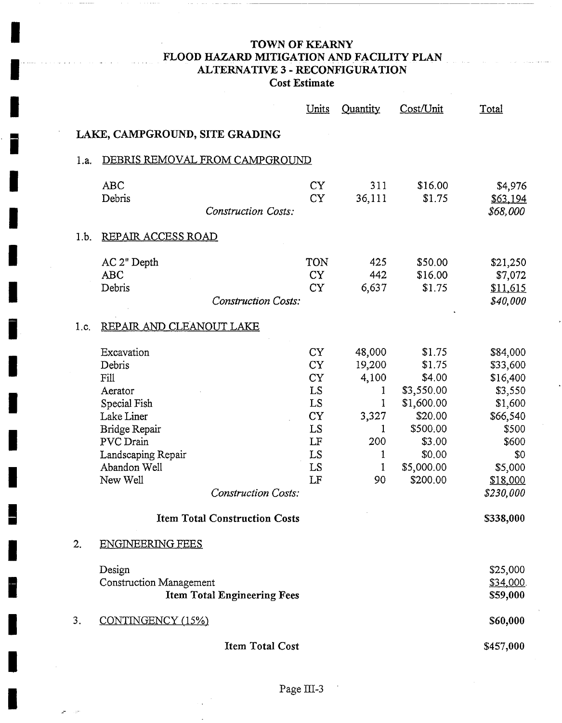# **TOWN OF KEARNY FLOOD HAZARD MITIGATION AND FACILITY PLAN ALTERNATIVE** 3 - **RECONFIGURATION Cost Estimate**

**!** 

**I** 

 $\sim$ z,

|      |                                                                                                                                                                                     | Units                                                                                      | Quantity                                                                 | Cost/Unit                                                                                                                   | <u>Total</u>                                                                                                                    |
|------|-------------------------------------------------------------------------------------------------------------------------------------------------------------------------------------|--------------------------------------------------------------------------------------------|--------------------------------------------------------------------------|-----------------------------------------------------------------------------------------------------------------------------|---------------------------------------------------------------------------------------------------------------------------------|
|      | LAKE, CAMPGROUND, SITE GRADING                                                                                                                                                      |                                                                                            |                                                                          |                                                                                                                             |                                                                                                                                 |
| 1.a. | DEBRIS REMOVAL FROM CAMPGROUND                                                                                                                                                      |                                                                                            |                                                                          |                                                                                                                             |                                                                                                                                 |
|      | <b>ABC</b><br>Debris<br><b>Construction Costs:</b>                                                                                                                                  | <b>CY</b><br><b>CY</b>                                                                     | 311<br>36,111                                                            | \$16.00<br>\$1.75                                                                                                           | \$4,976<br>\$63,194<br>\$68,000                                                                                                 |
| 1.b. | REPAIR ACCESS ROAD                                                                                                                                                                  |                                                                                            |                                                                          |                                                                                                                             |                                                                                                                                 |
|      | AC 2" Depth<br><b>ABC</b><br>Debris<br><b>Construction Costs:</b>                                                                                                                   | <b>TON</b><br><b>CY</b><br><b>CY</b>                                                       | 425<br>442<br>6,637                                                      | \$50.00<br>\$16.00<br>\$1.75                                                                                                | \$21,250<br>\$7,072<br>\$11,615<br>\$40,000                                                                                     |
| 1.c. | REPAIR AND CLEANOUT LAKE                                                                                                                                                            |                                                                                            |                                                                          |                                                                                                                             |                                                                                                                                 |
|      | Excavation<br>Debris<br>Fill<br>Aerator<br>Special Fish<br>Lake Liner<br>Bridge Repair<br>PVC Drain<br>Landscaping Repair<br>Abandon Well<br>New Well<br><b>Construction Costs:</b> | <b>CY</b><br><b>CY</b><br><b>CY</b><br>LS<br>LS<br><b>CY</b><br>LS<br>LF<br>LS<br>LS<br>LF | 48,000<br>19,200<br>4,100<br>1<br>1<br>3,327<br>1<br>200<br>1<br>1<br>90 | \$1.75<br>\$1.75<br>\$4.00<br>\$3,550.00<br>\$1,600.00<br>\$20.00<br>\$500.00<br>\$3.00<br>\$0.00<br>\$5,000.00<br>\$200.00 | \$84,000<br>\$33,600<br>\$16,400<br>\$3,550<br>\$1,600<br>\$66,540<br>\$500<br>\$600<br>\$0<br>\$5,000<br>\$18,000<br>\$230,000 |
|      | <b>Item Total Construction Costs</b>                                                                                                                                                |                                                                                            |                                                                          |                                                                                                                             | \$338,000                                                                                                                       |
| 2.   | <b>ENGINEERING FEES</b>                                                                                                                                                             |                                                                                            |                                                                          |                                                                                                                             |                                                                                                                                 |
|      | Design<br><b>Construction Management</b><br><b>Item Total Engineering Fees</b>                                                                                                      |                                                                                            |                                                                          |                                                                                                                             | \$25,000<br>\$34,000<br>\$59,000                                                                                                |
| 3.   | CONTINGENCY (15%)                                                                                                                                                                   |                                                                                            |                                                                          |                                                                                                                             | \$60,000                                                                                                                        |
|      | <b>Item Total Cost</b>                                                                                                                                                              |                                                                                            |                                                                          |                                                                                                                             | \$457,000                                                                                                                       |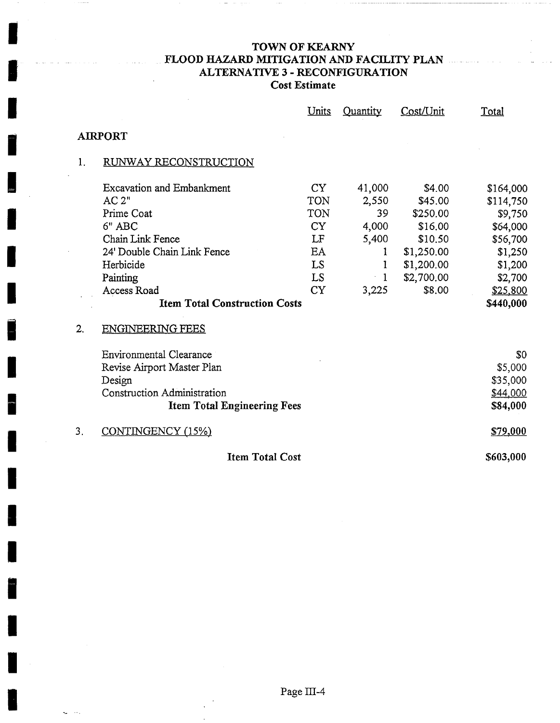# TOWN OF KEARNY FLOOD HAZARD MITIGATION AND FACILITY PLAN ... ALTERNATIVE 3 - RECONFIGURATION **Cost Estimate**

 $\sim$  10  $\pm$  1.

 $\sim$ 

 $\cdots\cdots$ 

بالمستع

|    |                                      | <u>Units</u> | Quantity     | Cost/Unit  | Total     |
|----|--------------------------------------|--------------|--------------|------------|-----------|
|    | <b>AIRPORT</b>                       |              |              |            |           |
| 1. | RUNWAY RECONSTRUCTION                |              |              |            |           |
|    | <b>Excavation and Embankment</b>     | <b>CY</b>    | 41,000       | \$4.00     | \$164,000 |
|    | AC 2"                                | TON          | 2,550        | \$45.00    | \$114,750 |
|    | Prime Coat                           | TON          | 39           | \$250.00   | \$9,750   |
|    | 6" ABC                               | <b>CY</b>    | 4,000        | \$16,00    | \$64,000  |
|    | Chain Link Fence                     | LF           | 5,400        | \$10.50    | \$56,700  |
|    | 24' Double Chain Link Fence          | EA           | ı            | \$1,250.00 | \$1,250   |
|    | Herbicide                            | LS           |              | \$1,200.00 | \$1,200   |
|    | Painting                             | <b>LS</b>    | $\mathbf{1}$ | \$2,700.00 | \$2,700   |
|    | Access Road                          | <b>CY</b>    | 3,225        | \$8,00     | \$25,800  |
|    | <b>Item Total Construction Costs</b> |              |              |            | \$440,000 |
| 2. | <b>ENGINEERING FEES</b>              |              |              |            |           |
|    | <b>Environmental Clearance</b>       |              |              |            | \$0       |
|    | Revise Airport Master Plan           |              |              |            | \$5,000   |
|    | Design                               |              |              |            | \$35,000  |
|    | Construction Administration          |              |              |            | \$44,000  |
|    | <b>Item Total Engineering Fees</b>   |              |              |            | \$84,000  |
| 3. | CONTINGENCY (15%)                    |              |              |            | \$79,000  |
|    | <b>Item Total Cost</b>               |              |              |            | \$603,000 |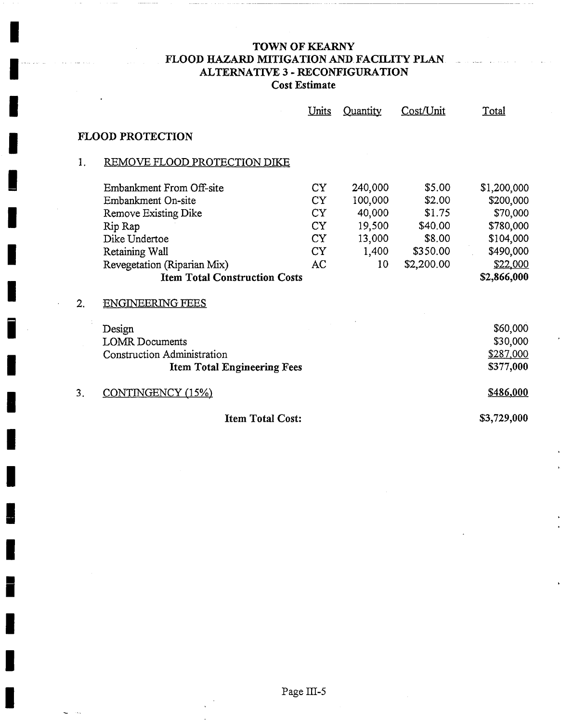# TOWN OF KEARNY FLOOD HAZARD MITIGATION AND FACILITY PLAN ALTERNATIVE 3 - RECONFIGURATION **Cost Estimate**

**!** 

**I** 

I .........

|    |                                      | Units           | Quantity | Cost/Unit  | <u>Total</u> |  |  |
|----|--------------------------------------|-----------------|----------|------------|--------------|--|--|
|    | <b>FLOOD PROTECTION</b>              |                 |          |            |              |  |  |
| 1. | REMOVE FLOOD PROTECTION DIKE         |                 |          |            |              |  |  |
|    | Embankment From Off-site             | CY <sub>1</sub> | 240,000  | \$5.00     | \$1,200,000  |  |  |
|    | Embankment On-site                   | CY              | 100,000  | \$2.00     | \$200,000    |  |  |
|    | Remove Existing Dike                 | <b>CY</b>       | 40,000   | \$1.75     | \$70,000     |  |  |
|    | Rip Rap                              | CY              | 19,500   | \$40.00    | \$780,000    |  |  |
|    | Dike Undertoe                        | <b>CY</b>       | 13,000   | \$8.00     | \$104,000    |  |  |
|    | Retaining Wall                       | CY <sub>1</sub> | 1,400    | \$350.00   | \$490,000    |  |  |
|    | Revegetation (Riparian Mix)          | AC              | 10       | \$2,200.00 | \$22,000     |  |  |
|    | <b>Item Total Construction Costs</b> |                 |          |            | \$2,866,000  |  |  |
| 2. | <b>ENGINEERING FEES</b>              |                 |          |            |              |  |  |
|    | Design                               |                 |          |            | \$60,000     |  |  |
|    | <b>LOMR</b> Documents                |                 |          |            | \$30,000     |  |  |
|    | Construction Administration          |                 |          |            | \$287,000    |  |  |
|    | <b>Item Total Engineering Fees</b>   |                 |          |            | \$377,000    |  |  |
| 3. | CONTINGENCY (15%)                    |                 |          |            | \$486,000    |  |  |
|    | <b>Item Total Cost:</b>              |                 |          |            | \$3,729,000  |  |  |